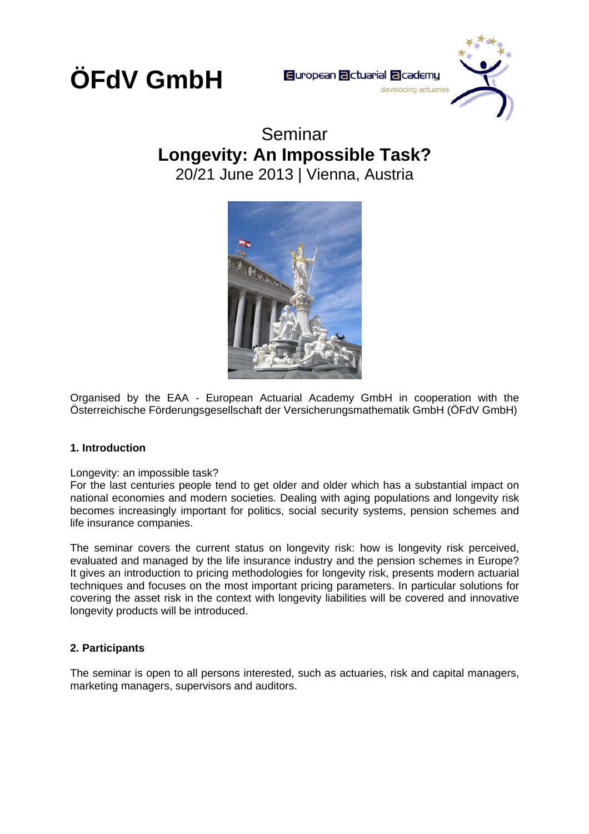

### Seminar **Longevity: An Impossible Task?**  20/21 June 2013 | Vienna, Austria



Organised by the EAA - European Actuarial Academy GmbH in cooperation with the Österreichische Förderungsgesellschaft der Versicherungsmathematik GmbH (ÖFdV GmbH)

### **1. Introduction**

### Longevity: an impossible task?

For the last centuries people tend to get older and older which has a substantial impact on national economies and modern societies. Dealing with aging populations and longevity risk becomes increasingly important for politics, social security systems, pension schemes and life insurance companies.

The seminar covers the current status on longevity risk: how is longevity risk perceived, evaluated and managed by the life insurance industry and the pension schemes in Europe? It gives an introduction to pricing methodologies for longevity risk, presents modern actuarial techniques and focuses on the most important pricing parameters. In particular solutions for covering the asset risk in the context with longevity liabilities will be covered and innovative longevity products will be introduced.

### **2. Participants**

The seminar is open to all persons interested, such as actuaries, risk and capital managers, marketing managers, supervisors and auditors.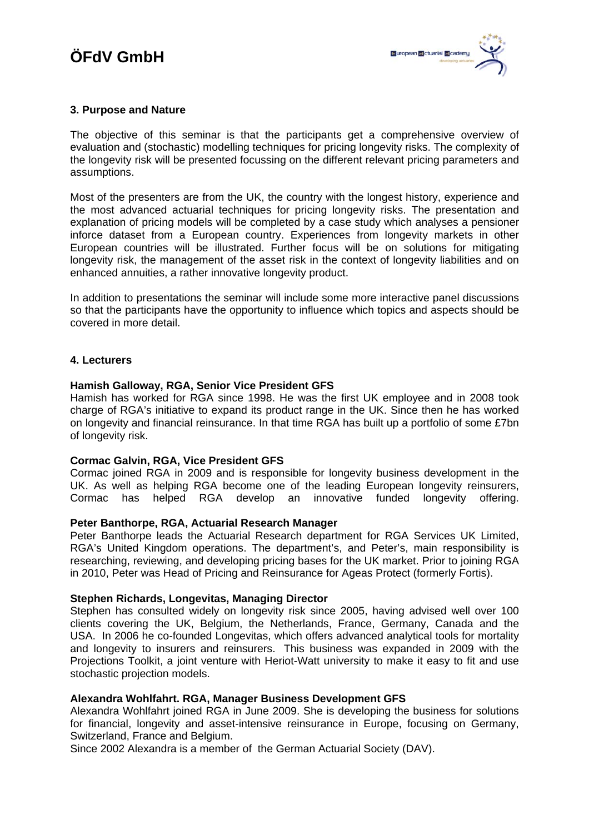### **3. Purpose and Nature**

The objective of this seminar is that the participants get a comprehensive overview of evaluation and (stochastic) modelling techniques for pricing longevity risks. The complexity of the longevity risk will be presented focussing on the different relevant pricing parameters and assumptions.

Most of the presenters are from the UK, the country with the longest history, experience and the most advanced actuarial techniques for pricing longevity risks. The presentation and explanation of pricing models will be completed by a case study which analyses a pensioner inforce dataset from a European country. Experiences from longevity markets in other European countries will be illustrated. Further focus will be on solutions for mitigating longevity risk, the management of the asset risk in the context of longevity liabilities and on enhanced annuities, a rather innovative longevity product.

In addition to presentations the seminar will include some more interactive panel discussions so that the participants have the opportunity to influence which topics and aspects should be covered in more detail.

### **4. Lecturers**

### **Hamish Galloway, RGA, Senior Vice President GFS**

Hamish has worked for RGA since 1998. He was the first UK employee and in 2008 took charge of RGA's initiative to expand its product range in the UK. Since then he has worked on longevity and financial reinsurance. In that time RGA has built up a portfolio of some £7bn of longevity risk.

### **Cormac Galvin, RGA, Vice President GFS**

Cormac joined RGA in 2009 and is responsible for longevity business development in the UK. As well as helping RGA become one of the leading European longevity reinsurers, Cormac has helped RGA develop an innovative funded longevity offering.

### **Peter Banthorpe, RGA, Actuarial Research Manager**

Peter Banthorpe leads the Actuarial Research department for RGA Services UK Limited, RGA's United Kingdom operations. The department's, and Peter's, main responsibility is researching, reviewing, and developing pricing bases for the UK market. Prior to joining RGA in 2010, Peter was Head of Pricing and Reinsurance for Ageas Protect (formerly Fortis).

### **Stephen Richards, Longevitas, Managing Director**

Stephen has consulted widely on longevity risk since 2005, having advised well over 100 clients covering the UK, Belgium, the Netherlands, France, Germany, Canada and the USA. In 2006 he co-founded Longevitas, which offers advanced analytical tools for mortality and longevity to insurers and reinsurers. This business was expanded in 2009 with the Projections Toolkit, a joint venture with Heriot-Watt university to make it easy to fit and use stochastic projection models.

### **Alexandra Wohlfahrt. RGA, Manager Business Development GFS**

Alexandra Wohlfahrt joined RGA in June 2009. She is developing the business for solutions for financial, longevity and asset-intensive reinsurance in Europe, focusing on Germany, Switzerland, France and Belgium.

Since 2002 Alexandra is a member of the German Actuarial Society (DAV).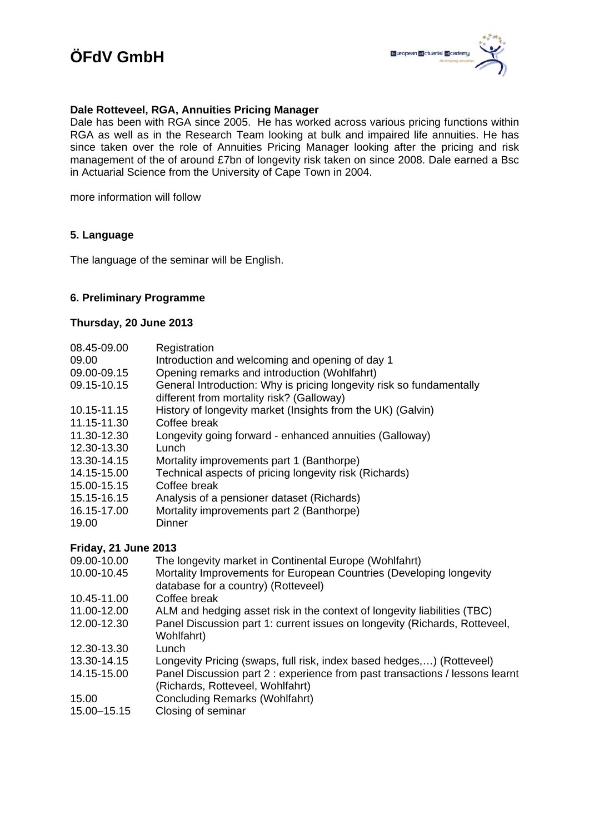### **Dale Rotteveel, RGA, Annuities Pricing Manager**

Dale has been with RGA since 2005. He has worked across various pricing functions within RGA as well as in the Research Team looking at bulk and impaired life annuities. He has since taken over the role of Annuities Pricing Manager looking after the pricing and risk management of the of around £7bn of longevity risk taken on since 2008. Dale earned a Bsc in Actuarial Science from the University of Cape Town in 2004.

more information will follow

### **5. Language**

The language of the seminar will be English.

### **6. Preliminary Programme**

### **Thursday, 20 June 2013**

| 08.45-09.00<br>09.00<br>09.00-09.15<br>09.15-10.15 | Registration<br>Introduction and welcoming and opening of day 1<br>Opening remarks and introduction (Wohlfahrt)<br>General Introduction: Why is pricing longevity risk so fundamentally<br>different from mortality risk? (Galloway) |
|----------------------------------------------------|--------------------------------------------------------------------------------------------------------------------------------------------------------------------------------------------------------------------------------------|
| 10.15-11.15                                        | History of longevity market (Insights from the UK) (Galvin)                                                                                                                                                                          |
| 11.15-11.30                                        | Coffee break                                                                                                                                                                                                                         |
| 11.30-12.30                                        | Longevity going forward - enhanced annuities (Galloway)                                                                                                                                                                              |
| 12.30-13.30                                        | Lunch                                                                                                                                                                                                                                |
| 13.30-14.15                                        | Mortality improvements part 1 (Banthorpe)                                                                                                                                                                                            |
| 14.15-15.00                                        | Technical aspects of pricing longevity risk (Richards)                                                                                                                                                                               |
| 15.00-15.15                                        | Coffee break                                                                                                                                                                                                                         |
| 15.15-16.15                                        | Analysis of a pensioner dataset (Richards)                                                                                                                                                                                           |
| 16.15-17.00                                        | Mortality improvements part 2 (Banthorpe)                                                                                                                                                                                            |
| 19.00                                              | Dinner                                                                                                                                                                                                                               |
| Friday, 21 June 2013                               |                                                                                                                                                                                                                                      |

- 09.00-10.00 The longevity market in Continental Europe (Wohlfahrt) 10.00-10.45 Mortality Improvements for European Countries (Developing longevity database for a country) (Rotteveel)
- 10.45-11.00 Coffee break
- 11.00-12.00 ALM and hedging asset risk in the context of longevity liabilities (TBC)
- 12.00-12.30 Panel Discussion part 1: current issues on longevity (Richards, Rotteveel, Wohlfahrt)
- 12.30-13.30 Lunch
- 13.30-14.15 Longevity Pricing (swaps, full risk, index based hedges,…) (Rotteveel)
- 14.15-15.00 Panel Discussion part 2 : experience from past transactions / lessons learnt (Richards, Rotteveel, Wohlfahrt)
- 15.00 Concluding Remarks (Wohlfahrt)
- 15.00–15.15 Closing of seminar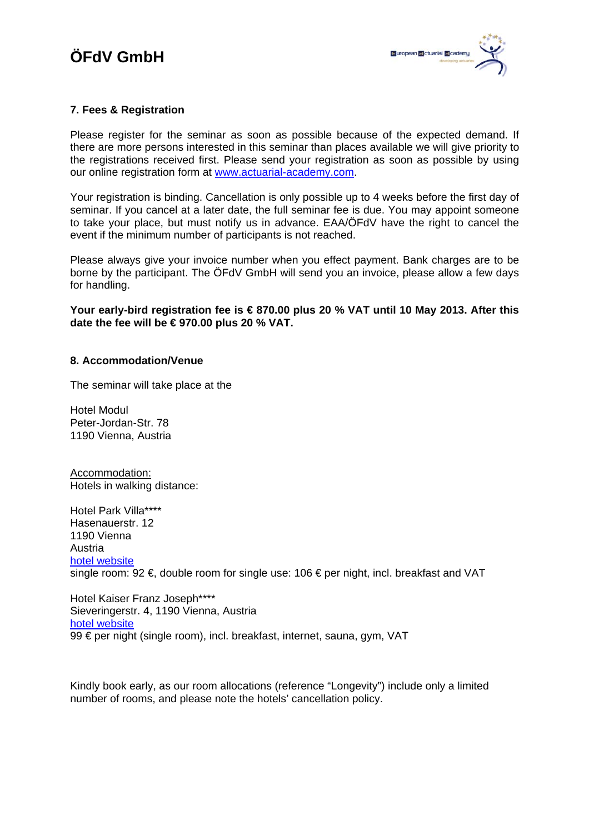### **7. Fees & Registration**

Please register for the seminar as soon as possible because of the expected demand. If there are more persons interested in this seminar than places available we will give priority to the registrations received first. Please send your registration as soon as possible by using our online registration form at [www.actuarial-academy.com.](http://www.actuarial-academy.com/)

Your registration is binding. Cancellation is only possible up to 4 weeks before the first day of seminar. If you cancel at a later date, the full seminar fee is due. You may appoint someone to take your place, but must notify us in advance. EAA/ÖFdV have the right to cancel the event if the minimum number of participants is not reached.

Please always give your invoice number when you effect payment. Bank charges are to be borne by the participant. The ÖFdV GmbH will send you an invoice, please allow a few days for handling.

**Your early-bird registration fee is € 870.00 plus 20 % VAT until 10 May 2013. After this date the fee will be € 970.00 plus 20 % VAT.** 

#### **8. Accommodation/Venue**

The seminar will take place at the

Hotel Modul Peter-Jordan-Str. 78 1190 Vienna, Austria

Accommodation: Hotels in walking distance:

Hotel Park Villa\*\*\*\* Hasenauerstr. 12 1190 Vienna Austria [hotel website](http://www.parkvilla.at/) single room: 92 €, double room for single use: 106 € per night, incl. breakfast and VAT

Hotel Kaiser Franz Joseph\*\*\*\* Sieveringerstr. 4, 1190 Vienna, Austria [hotel website](http://www.deraghotels.de/hotels-wien/hotel-kaiser-franz-joseph-wien.html) 99 € per night (single room), incl. breakfast, internet, sauna, gym, VAT

Kindly book early, as our room allocations (reference "Longevity") include only a limited number of rooms, and please note the hotels' cancellation policy.